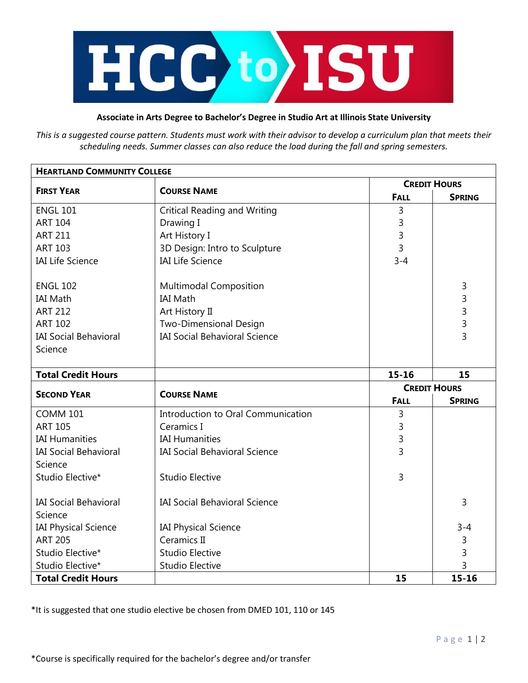

## **Associate in Arts Degree to Bachelor's Degree in Studio Art at Illinois State University**

*This is a suggested course pattern. Students must work with their advisor to develop a curriculum plan that meets their scheduling needs. Summer classes can also reduce the load during the fall and spring semesters.*

| <b>HEARTLAND COMMUNITY COLLEGE</b> |                                      |                     |                |  |
|------------------------------------|--------------------------------------|---------------------|----------------|--|
| <b>FIRST YEAR</b>                  | <b>COURSE NAME</b>                   | <b>CREDIT HOURS</b> |                |  |
|                                    |                                      | <b>FALL</b>         | <b>SPRING</b>  |  |
| <b>ENGL 101</b>                    | <b>Critical Reading and Writing</b>  | 3                   |                |  |
| <b>ART 104</b>                     | Drawing I                            | 3                   |                |  |
| <b>ART 211</b>                     | Art History I                        | 3                   |                |  |
| <b>ART 103</b>                     | 3D Design: Intro to Sculpture        | 3                   |                |  |
| <b>IAI Life Science</b>            | <b>IAI Life Science</b>              | $3 - 4$             |                |  |
| <b>ENGL 102</b>                    | <b>Multimodal Composition</b>        |                     | 3              |  |
| <b>IAI Math</b>                    | <b>IAI Math</b>                      |                     | 3              |  |
| <b>ART 212</b>                     | Art History II                       |                     | 3              |  |
| <b>ART 102</b>                     | Two-Dimensional Design               |                     | 3              |  |
| <b>IAI Social Behavioral</b>       | <b>IAI Social Behavioral Science</b> |                     | $\overline{3}$ |  |
| Science                            |                                      |                     |                |  |
|                                    |                                      |                     |                |  |
| <b>Total Credit Hours</b>          |                                      | $15 - 16$           | 15             |  |
| <b>SECOND YEAR</b>                 | <b>COURSE NAME</b>                   | <b>CREDIT HOURS</b> |                |  |
|                                    |                                      | <b>FALL</b>         | <b>SPRING</b>  |  |
| <b>COMM 101</b>                    | Introduction to Oral Communication   | 3                   |                |  |
| <b>ART 105</b>                     | Ceramics I                           | 3                   |                |  |
| <b>IAI Humanities</b>              | <b>IAI Humanities</b>                | 3                   |                |  |
| <b>IAI Social Behavioral</b>       | <b>IAI Social Behavioral Science</b> | 3                   |                |  |
| Science                            |                                      |                     |                |  |
| Studio Elective*                   | <b>Studio Elective</b>               | 3                   |                |  |
| <b>IAI Social Behavioral</b>       | <b>IAI Social Behavioral Science</b> |                     | 3              |  |
| Science                            |                                      |                     |                |  |
| <b>IAI Physical Science</b>        | <b>IAI Physical Science</b>          |                     | $3 - 4$        |  |
| <b>ART 205</b>                     | Ceramics II                          |                     | 3              |  |
| Studio Elective*                   | <b>Studio Elective</b>               |                     | 3              |  |
| Studio Elective*                   | <b>Studio Elective</b>               |                     | 3              |  |
| <b>Total Credit Hours</b>          |                                      | 15                  | $15 - 16$      |  |

\*It is suggested that one studio elective be chosen from DMED 101, 110 or 145